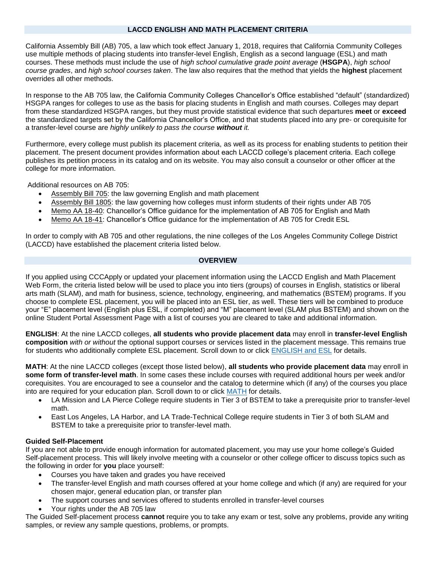#### **LACCD ENGLISH AND MATH PLACEMENT CRITERIA**

California Assembly Bill (AB) 705, a law which took effect January 1, 2018, requires that California Community Colleges use multiple methods of placing students into transfer-level English, English as a second language (ESL) and math courses. These methods must include the use of *high school cumulative grade point average* (**HSGPA**), *high school course grades*, and *high school courses taken*. The law also requires that the method that yields the **highest** placement overrides all other methods.

In response to the AB 705 law, the California Community Colleges Chancellor's Office established "default" (standardized) HSGPA ranges for colleges to use as the basis for placing students in English and math courses. Colleges may depart from these standardized HSGPA ranges, but they must provide statistical evidence that such departures **meet** or **exceed** the standardized targets set by the California Chancellor's Office, and that students placed into any pre- or corequisite for a transfer-level course are *highly unlikely to pass the course without it.*

Furthermore, every college must publish its placement criteria, as well as its process for enabling students to petition their placement. The present document provides information about each LACCD college's placement criteria. Each college publishes its petition process in its catalog and on its website. You may also consult a counselor or other officer at the college for more information.

Additional resources on AB 705:

- [Assembly Bill 705:](https://leginfo.legislature.ca.gov/faces/billTextClient.xhtml?bill_id=201720180AB705) the law governing English and math placement
- [Assembly Bill 1805:](https://leginfo.legislature.ca.gov/faces/billTextClient.xhtml?bill_id=201720180AB1805) the law governing how colleges must inform students of their rights under AB 705
- [Memo AA 18-40:](https://assessmentplacement.squarespace.com/s/0718-AB-705-Implementation-Memorandumpdf.pdf) Chancellor's Office guidance for the implementation of AB 705 for English and Math
- [Memo AA 18-41:](https://assessmentplacement.squarespace.com/s/AA-18-41-AB-705-Initial-Guidance-Language-for-Credit-ESL_.pdf) Chancellor's Office guidance for the implementation of AB 705 for Credit ESL

In order to comply with AB 705 and other regulations, the nine colleges of the Los Angeles Community College District (LACCD) have established the placement criteria listed below.

#### **OVERVIEW**

If you applied using CCCApply or updated your placement information using the LACCD English and Math Placement Web Form, the criteria listed below will be used to place you into tiers (groups) of courses in English, statistics or liberal arts math (SLAM), and math for business, science, technology, engineering, and mathematics (BSTEM) programs. If you choose to complete ESL placement, you will be placed into an ESL tier, as well. These tiers will be combined to produce your "E" placement level (English plus ESL, if completed) and "M" placement level (SLAM plus BSTEM) and shown on the online Student Portal Assessment Page with a list of courses you are cleared to take and additional information.

**ENGLISH**: At the nine LACCD colleges, **all students who provide placement data** may enroll in **transfer-level English composition** *with or without* the optional support courses or services listed in the placement message. This remains true for students who additionally complete ESL placement. Scroll down to or click [ENGLISH and ESL](#page-1-0) for details.

**MATH**: At the nine LACCD colleges (except those listed below), **all students who provide placement data** may enroll in **some form of transfer-level math**. In some cases these include courses with required additional hours per week and/or corequisites. You are encouraged to see a counselor and the catalog to determine which (if any) of the courses you place into are required for your education plan. Scroll down to or click [MATH](#page-3-0) for details.

- LA Mission and LA Pierce College require students in Tier 3 of BSTEM to take a prerequisite prior to transfer-level math.
- East Los Angeles, LA Harbor, and LA Trade-Technical College require students in Tier 3 of both SLAM and BSTEM to take a prerequisite prior to transfer-level math.

### **Guided Self-Placement**

If you are not able to provide enough information for automated placement, you may use your home college's Guided Self-placement process. This will likely involve meeting with a counselor or other college officer to discuss topics such as the following in order for **you** place yourself:

- Courses you have taken and grades you have received
- The transfer-level English and math courses offered at your home college and which (if any) are required for your chosen major, general education plan, or transfer plan
- The support courses and services offered to students enrolled in transfer-level courses
- Your rights under the AB 705 law

The Guided Self-placement process **cannot** require you to take any exam or test, solve any problems, provide any writing samples, or review any sample questions, problems, or prompts.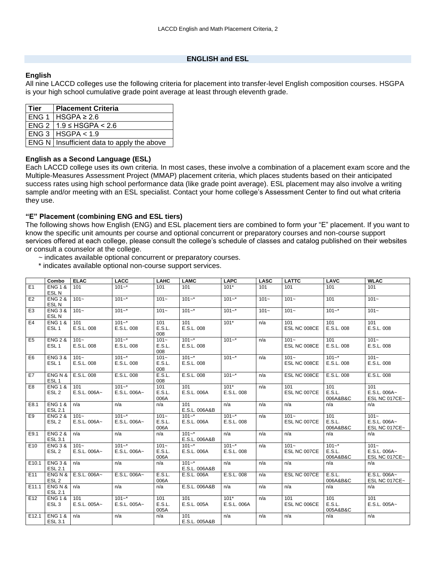### **ENGLISH and ESL**

# <span id="page-1-0"></span>**English**

All nine LACCD colleges use the following criteria for placement into transfer-level English composition courses. HSGPA is your high school cumulative grade point average at least through eleventh grade.

| l Tier | <b>Placement Criteria</b>                           |
|--------|-----------------------------------------------------|
|        | $ENG 1   HSGPA \geq 2.6$                            |
|        | ENG 2   1.9 ≤ HSGPA < 2.6                           |
|        | ENG 3 HSGPA < 1.9                                   |
|        | <b>ENG N</b>   Insufficient data to apply the above |

### **English as a Second Language (ESL)**

Each LACCD college uses its own criteria. In most cases, these involve a combination of a placement exam score and the Multiple-Measures Assessment Project (MMAP) placement criteria, which places students based on their anticipated success rates using high school performance data (like grade point average). ESL placement may also involve a writing sample and/or meeting with an ESL specialist. Contact your home college's Assessment Center to find out what criteria they use.

# **"E" Placement (combining ENG and ESL tiers)**

The following shows how English (ENG) and ESL placement tiers are combined to form your "E" placement. If you want to know the specific unit amounts per course and optional concurrent or preparatory courses and non-course support services offered at each college, please consult the college's schedule of classes and catalog published on their websites or consult a counselor at the college.

- ~ indicates available optional concurrent or preparatory courses.
- \* indicates available optional non-course support services.

|                 | Combo                                   | <b>ELAC</b>             | <b>LACC</b>               | LAHC                      | <b>LAMC</b>                | <b>LAPC</b>             | <b>LASC</b> | <b>LATTC</b>            | <b>LAVC</b>                     | <b>WLAC</b>                              |
|-----------------|-----------------------------------------|-------------------------|---------------------------|---------------------------|----------------------------|-------------------------|-------------|-------------------------|---------------------------------|------------------------------------------|
| E1              | <b>ENG 1 &amp;</b><br>ESL <sub>N</sub>  | 101                     | $101 -$ *                 | 101                       | 101                        | $101*$                  | 101         | 101                     | 101                             | 101                                      |
| E <sub>2</sub>  | <b>ENG 2 &amp;</b><br>ESL <sub>N</sub>  | $101 -$                 | $101 -$ *                 | $101 -$                   | $101 -$ *                  | $101 -$ *               | $101 -$     | $101 -$                 | 101                             | $101 -$                                  |
| E <sub>3</sub>  | <b>ENG 3 &amp;</b><br>ESL <sub>N</sub>  | $101 -$                 | $101 -$ *                 | $101 -$                   | $101 -$ *                  | $101 -$ *               | $101 -$     | $101 -$                 | $101 -$ *                       | $101 -$                                  |
| E <sub>4</sub>  | <b>ENG 1 &amp;</b><br>ESL <sub>1</sub>  | 101<br>E.S.L. 008       | $101 -$ *<br>E.S.L. 008   | 101<br>E.S.L.<br>008      | 101<br>E.S.L. 008          | $101*$                  | n/a         | 101<br>ESL NC 008CE     | 101<br>E.S.L. 008               | 101<br>E.S.L. 008                        |
| E5              | <b>ENG 2 &amp;</b><br>ESL <sub>1</sub>  | $101 -$<br>E.S.L. 008   | $101 -$ *<br>E.S.L. 008   | $101 -$<br>E.S.L.<br>008  | $101 -$ *<br>E.S.L. 008    | $101 -$ *               | n/a         | $101 -$<br>ESL NC 008CE | 101<br>E.S.L. 008               | $101 -$<br>E.S.L. 008                    |
| E <sub>6</sub>  | <b>ENG 3 &amp;</b><br>ESL <sub>1</sub>  | $101 -$<br>E.S.L. 008   | $101 -$ *<br>E.S.L. 008   | $101 -$<br>E.S.L.<br>008  | $101 -$ *<br>E.S.L. 008    | $101 -$ *               | n/a         | $101 -$<br>ESL NC 008CE | $101 -$ *<br>E.S.L. 008         | $101 -$<br>E.S.L. 008                    |
| E7              | ENG N &<br>ESL <sub>1</sub>             | E.S.L. 008              | E.S.L. 008                | E.S.L.<br>008             | E.S.L. 008                 | $101 -$ *               | n/a         | ESL NC 008CE            | E.S.L. 008                      | E.S.L. 008                               |
| E <sub>8</sub>  | <b>ENG 1 &amp;</b><br>ESL <sub>2</sub>  | 101<br>E.S.L. 006A~     | $101 -$ *<br>E.S.L. 006A~ | 101<br>E.S.L.<br>006A     | 101<br>E.S.L. 006A         | $101*$<br>E.S.L. 008    | n/a         | 101<br>ESL NC 007CE     | 101<br>E.S.L.<br>006A&B&C       | 101<br>E.S.L. 006A~<br>ESL NC 017CE~     |
| E8.1            | <b>ENG 1 &amp;</b><br><b>ESL 2.1</b>    | n/a                     | n/a                       | n/a                       | 101<br>E.S.L. 006A&B       | n/a                     | n/a         | n/a                     | n/a                             | n/a                                      |
| E9              | <b>ENG 2 &amp;</b><br>ESL <sub>2</sub>  | $101 -$<br>E.S.L. 006A~ | $101 -$ *<br>E.S.L. 006A~ | $101 -$<br>E.S.L.<br>006A | $101 -$ *<br>E.S.L. 006A   | $101 -$ *<br>E.S.L. 008 | n/a         | $101 -$<br>ESL NC 007CE | 101<br>E.S.L.<br>006A&B&C       | $101 -$<br>E.S.L. 006A~<br>ESL NC 017CE~ |
| E9.1            | <b>ENG 2 &amp;</b><br>ESL 3.1           | n/a                     | n/a                       | n/a                       | $101 -$ *<br>E.S.L. 006A&B | n/a                     | n/a         | n/a                     | n/a                             | n/a                                      |
| E <sub>10</sub> | <b>ENG 3 &amp;</b><br>ESL <sub>2</sub>  | $101 -$<br>E.S.L. 006A~ | $101 -$ *<br>E.S.L. 006A~ | $101 -$<br>E.S.L.<br>006A | $101 -$ *<br>E.S.L. 006A   | $101 -$ *<br>E.S.L. 008 | n/a         | $101 -$<br>ESL NC 007CE | $101 -$ *<br>E.S.L.<br>006A&B&C | $101 -$<br>E.S.L. 006A~<br>ESL NC 017CE~ |
| E10.1           | <b>ENG 3 &amp;</b><br><b>ESL 2.1</b>    | n/a                     | n/a                       | n/a                       | $101 -$ *<br>E.S.L. 006A&B | n/a                     | n/a         | n/a                     | n/a                             | n/a                                      |
| E <sub>11</sub> | ENG N &<br>ESL <sub>2</sub>             | E.S.L. 006A~            | E.S.L. 006A~              | E.S.L.<br>006A            | E.S.L. 006A                | E.S.L. 008              | n/a         | ESL NC 007CE            | E.S.L.<br>006A&B&C              | E.S.L. 006A~<br>ESL NC 017CE~            |
| E11.1           | ENG N &<br><b>ESL 2.1</b>               | n/a                     | n/a                       | n/a                       | E.S.L. 006A&B              | n/a                     | n/a         | n/a                     | n/a                             | n/a                                      |
| E <sub>12</sub> | <b>ENG 1 &amp;</b><br>ESL <sub>3</sub>  | 101<br>E.S.L. 005A~     | $101 -$ *<br>E.S.L. 005A~ | 101<br>E.S.L.<br>005A     | 101<br>E.S.L. 005A         | $101*$<br>E.S.L. 006A   | n/a         | 101<br>ESL NC 006CE     | 101<br>E.S.L.<br>005A&B&C       | 101<br>E.S.L. 005A~                      |
| E12.1           | ENG <sub>1&amp;</sub><br><b>ESL 3.1</b> | n/a                     | n/a                       | n/a                       | 101<br>E.S.L. 005A&B       | n/a                     | n/a         | n/a                     | n/a                             | n/a                                      |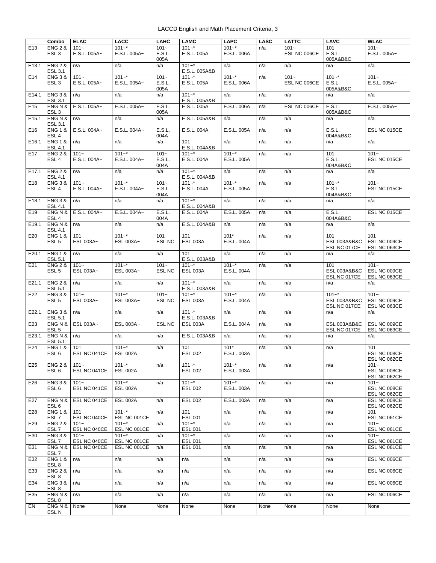|                   | Combo                                  | <b>ELAC</b>             | <b>LACC</b>                  | <b>LAHC</b>               | <b>LAMC</b>                  | <b>LAPC</b>              | <b>LASC</b> | <b>LATTC</b>            | <b>LAVC</b>                                              | <b>WLAC</b>                             |
|-------------------|----------------------------------------|-------------------------|------------------------------|---------------------------|------------------------------|--------------------------|-------------|-------------------------|----------------------------------------------------------|-----------------------------------------|
| E <sub>13</sub>   | <b>ENG 2 &amp;</b><br>ESL <sub>3</sub> | $101 -$<br>E.S.L. 005A~ | $101 -$ *<br>E.S.L. 005A~    | $101 -$<br>E.S.L.<br>005A | $101 -$ *<br>E.S.L. 005A     | $101 -$ *<br>E.S.L. 006A | n/a         | $101 -$<br>ESL NC 006CE | 101<br>E.S.L.<br>005A&B&C                                | $101 -$<br>E.S.L. 005A~                 |
| E <sub>13.1</sub> | <b>ENG 2 &amp;</b><br>ESL 3.1          | n/a                     | n/a                          | n/a                       | $101 -$ *<br>E.S.L. 005A&B   | n/a                      | n/a         | n/a                     | n/a                                                      | n/a                                     |
| E14               | <b>ENG 3 &amp;</b><br>ESL <sub>3</sub> | $101 -$<br>E.S.L. 005A~ | $101 -$ *<br>E.S.L. 005A~    | $101 -$<br>E.S.L.<br>005A | $101 -$ *<br>E.S.L. 005A     | $101 -$ *<br>E.S.L. 006A | n/a         | $101 -$<br>ESL NC 006CE | $101 -$ *<br>E.S.L.<br>005A&B&C                          | $101 -$<br>E.S.L. 005A~                 |
| E14.1             | <b>ENG 3 &amp;</b><br>ESL 3.1          | n/a                     | n/a                          | n/a                       | $101 -$ *<br>E.S.L. 005A&B   | n/a                      | n/a         | n/a                     | n/a                                                      | n/a                                     |
| E <sub>15</sub>   | ENG N &<br>ESL <sub>3</sub>            | E.S.L. 005A~            | E.S.L. 005A~                 | E.S.L.<br>005A            | E.S.L. 005A                  | E.S.L. 006A              | n/a         | ESL NC 006CE            | E.S.L.<br>005A&B&C                                       | E.S.L. 005A~                            |
| E15.1             | ENG N &<br>ESL 3.1                     | n/a                     | n/a                          | n/a                       | E.S.L. 005A&B                | n/a                      | n/a         | n/a                     | n/a                                                      | n/a                                     |
| E16               | <b>ENG 1 &amp;</b><br>ESL <sub>4</sub> | E.S.L. 004A~            | E.S.L. 004A~                 | E.S.L.<br>004A            | E.S.L. 004A                  | E.S.L. 005A              | n/a         | n/a                     | E.S.L.<br>004A&B&C                                       | ESL NC 015CE                            |
| E16.1             | <b>ENG 1 &amp;</b><br><b>ESL 4.1</b>   | n/a                     | n/a                          | n/a                       | 101<br>E.S.L. 004A&B         | n/a                      | n/a         | n/a                     | n/a                                                      | n/a                                     |
| E <sub>17</sub>   | <b>ENG 2 &amp;</b><br>ESL <sub>4</sub> | $101 -$<br>E.S.L. 004A~ | $101 -$ *<br>E.S.L. 004A~    | $101 -$<br>E.S.L.<br>004A | $101 -$ *<br>E.S.L. 004A     | $101 -$ *<br>E.S.L. 005A | n/a         | n/a                     | 101<br>E.S.L.<br>004A&B&C                                | $101 -$<br>ESL NC 015CE                 |
| E <sub>17.1</sub> | <b>ENG 2 &amp;</b><br><b>ESL 4.1</b>   | n/a                     | n/a                          | n/a                       | $101 -$ *<br>E.S.L. 004A&B   | n/a                      | n/a         | n/a                     | n/a                                                      | n/a                                     |
| E18               | <b>ENG 3 &amp;</b><br>ESL <sub>4</sub> | $101 -$<br>E.S.L. 004A~ | $101 -$ *<br>E.S.L. 004A~    | $101 -$<br>E.S.L.<br>004A | $101 -$ *<br>E.S.L. 004A     | $101 -$ *<br>E.S.L. 005A | n/a         | n/a                     | $101 -$ *<br>E.S.L.<br>004A&B&C                          | $101 -$<br>ESL NC 015CE                 |
| E18.1             | <b>ENG 3 &amp;</b><br>ESL 4.1          | n/a                     | n/a                          | n/a                       | $101 -$ *<br>E.S.L. 004A&B   | n/a                      | n/a         | n/a                     | n/a                                                      | n/a                                     |
| E <sub>19</sub>   | ENG N &<br>ESL <sub>4</sub>            | E.S.L. 004A~            | E.S.L. 004A~                 | E.S.L.<br>004A            | E.S.L. 004A                  | E.S.L. 005A              | n/a         | n/a                     | E.S.L.<br>004A&B&C                                       | ESL NC 015CE                            |
| E <sub>19.1</sub> | ENG N &<br><b>ESL 4.1</b>              | n/a                     | n/a                          | n/a                       | E.S.L. 004A&B                | n/a                      | n/a         | n/a                     | n/a                                                      | n/a                                     |
| E20               | <b>ENG 1 &amp;</b><br>ESL <sub>5</sub> | 101<br>ESL 003A~        | $101 -$ *<br>ESL 003A~       | 101<br><b>ESL NC</b>      | 101<br><b>ESL 003A</b>       | $101*$<br>E.S.L. 004A    | n/a         | n/a                     | 101<br><b>ESL 003A&amp;B&amp;C</b><br>ESL NC 017CE       | 101<br>ESL NC 009CE<br>ESL NC 063CE     |
| E20.1             | <b>ENG 1 &amp;</b><br><b>ESL 5.1</b>   | n/a                     | n/a                          | n/a                       | 101<br>E.S.L. 003A&B         | n/a                      | n/a         | n/a                     | n/a                                                      | n/a                                     |
| E21               | <b>ENG 2 &amp;</b><br>ESL <sub>5</sub> | $101 -$<br>ESL 003A~    | $101 -$ *<br>ESL 003A~       | $101 -$<br>ESL NC         | $101 -$ *<br><b>ESL 003A</b> | $101 -$ *<br>E.S.L. 004A | n/a         | n/a                     | 101<br>ESL 003A&B&C<br>ESL NC 017CE                      | $101 -$<br>ESL NC 009CE<br>ESL NC 063CE |
| E21.1             | <b>ENG 2 &amp;</b><br><b>ESL 5.1</b>   | n/a                     | n/a                          | n/a                       | $101 -$ *<br>E.S.L. 003A&B   | n/a                      | n/a         | n/a                     | n/a                                                      | n/a                                     |
| E22               | <b>ENG 3 &amp;</b><br>ESL <sub>5</sub> | $101 -$<br>ESL 003A~    | $101 -$ *<br>ESL 003A~       | $101 -$<br>ESL NC         | $101 -$ *<br><b>ESL 003A</b> | $101 -$ *<br>E.S.L. 004A | n/a         | n/a                     | $101 -$ *<br><b>ESL 003A&amp;B&amp;C</b><br>ESL NC 017CE | $101 -$<br>ESL NC 009CE<br>ESL NC 063CE |
| E22.1             | <b>ENG 3 &amp;</b><br><b>ESL 5.1</b>   | n/a                     | n/a                          | n/a                       | $101 -$ *<br>E.S.L. 003A&B   | n/a                      | n/a         | n/a                     | n/a                                                      | n/a                                     |
| E23               | ENG N &<br>ESL <sub>5</sub>            | ESL 003A~               | ESL 003A~                    | <b>ESL NC</b>             | <b>ESL 003A</b>              | E.S.L. 004A              | n/a         | n/a                     | <b>ESL 003A&amp;B&amp;C</b><br>ESL NC 017CE              | ESL NC 009CE<br>ESL NC 063CE            |
| E23.1             | ENG N &<br><b>ESL 5.1</b>              | n/a                     | n/a                          | n/a                       | E.S.L. 003A&B                | n/a                      | n/a         | n/a                     | n/a                                                      | n/a                                     |
| E24               | <b>ENG 1 &amp;</b><br>ESL <sub>6</sub> | 101<br>ESL NC 041CE     | $101 -$ *<br><b>ESL 002A</b> | n/a                       | 101<br>ESL 002               | $101*$<br>E.S.L. 003A    | n/a         | n/a                     | n/a                                                      | 101<br>ESL NC 008CE<br>ESL NC 062CE     |
| E <sub>25</sub>   | <b>ENG 2 &amp;</b><br>ESL <sub>6</sub> | $101 -$<br>ESL NC 041CE | $101 -$ *<br><b>ESL 002A</b> | n/a                       | $101 -$ *<br><b>ESL 002</b>  | $101 -$ *<br>E.S.L. 003A | n/a         | n/a                     | n/a                                                      | $101 -$<br>ESL NC 008CE<br>ESL NC 062CE |
| E26               | <b>ENG 3 &amp;</b><br>ESL <sub>6</sub> | $101 -$<br>ESL NC 041CE | $101 -$ *<br><b>ESL 002A</b> | n/a                       | $101 -$ *<br><b>ESL 002</b>  | $101 -$ *<br>E.S.L. 003A | n/a         | n/a                     | n/a                                                      | $101 -$<br>ESL NC 008CE<br>ESL NC 062CE |
| E27               | ENG N &<br>ESL <sub>6</sub>            | ESL NC 041CE            | <b>ESL 002A</b>              | n/a                       | <b>ESL 002</b>               | E.S.L. 003A              | n/a         | n/a                     | n/a                                                      | ESL NC 008CE<br>ESL NC 062CE            |
| E28               | <b>ENG 1 &amp;</b><br>ESL <sub>7</sub> | 101<br>ESL NC 040CE     | $101 -$ *<br>ESL NC 001CE    | n/a                       | 101<br><b>ESL 001</b>        | n/a                      | n/a         | n/a                     | n/a                                                      | 101<br>ESL NC 061CE                     |
| E29               | <b>ENG 2 &amp;</b><br>ESL <sub>7</sub> | $101 -$<br>ESL NC 040CE | $101 -$ *<br>ESL NC 001CE    | n/a                       | $101 -$ *<br>ESL 001         | n/a                      | n/a         | n/a                     | n/a                                                      | $101 -$<br>ESL NC 061CE                 |
| E30               | <b>ENG 3 &amp;</b><br>ESL <sub>7</sub> | $101 -$<br>ESL NC 040CE | $101 -$ *<br>ESL NC 001CE    | n/a                       | $101 -$ *<br>ESL 001         | n/a                      | n/a         | n/a                     | n/a                                                      | $101 -$<br>ESL NC 061CE                 |
| E31               | ENG N &<br>ESL <sub>7</sub>            | ESL NC 040CE            | ESL NC 001CE                 | n/a                       | <b>ESL 001</b>               | n/a                      | n/a         | n/a                     | n/a                                                      | ESL NC 061CE                            |
| E32               | <b>ENG 1 &amp;</b><br>ESL <sub>8</sub> | n/a                     | n/a                          | n/a                       | n/a                          | n/a                      | n/a         | n/a                     | n/a                                                      | ESL NC 006CE                            |
| E33               | <b>ENG 2 &amp;</b><br>ESL <sub>8</sub> | n/a                     | n/a                          | n/a                       | n/a                          | n/a                      | n/a         | n/a                     | n/a                                                      | ESL NC 006CE                            |
| E34               | <b>ENG 3 &amp;</b><br>ESL <sub>8</sub> | n/a                     | n/a                          | n/a                       | n/a                          | n/a                      | n/a         | n/a                     | n/a                                                      | ESL NC 006CE                            |
| E35               | ENG N &<br>ESL <sub>8</sub>            | n/a                     | n/a                          | n/a                       | n/a                          | n/a                      | n/a         | n/a                     | n/a                                                      | ESL NC 006CE                            |
| EN                | ENG N &<br>ESL <sub>N</sub>            | None                    | None                         | None                      | None                         | None                     | None        | None                    | None                                                     | None                                    |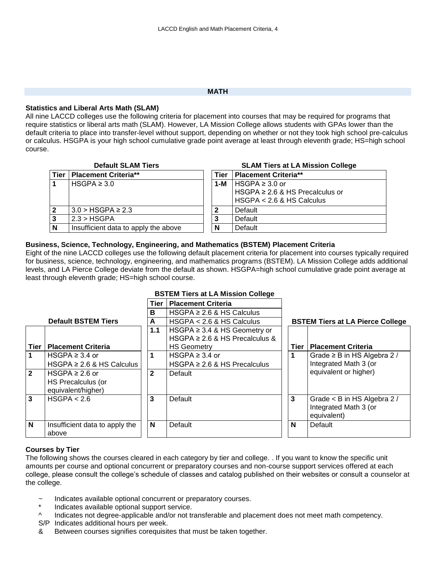#### **MATH**

### <span id="page-3-0"></span>**Statistics and Liberal Arts Math (SLAM)**

All nine LACCD colleges use the following criteria for placement into courses that may be required for programs that require statistics or liberal arts math (SLAM). However, LA Mission College allows students with GPAs lower than the default criteria to place into transfer-level without support, depending on whether or not they took high school pre-calculus or calculus. HSGPA is your high school cumulative grade point average at least through eleventh grade; HS=high school course.

|      | <b>Default SLAM Tiers</b>            | <b>SLAM Tiers at LA Mission College</b> |      |                                                                                         |  |  |  |
|------|--------------------------------------|-----------------------------------------|------|-----------------------------------------------------------------------------------------|--|--|--|
| Tier | <b>Placement Criteria**</b>          |                                         | Tier | Placement Criteria**                                                                    |  |  |  |
|      | HSGPA $\geq 3.0$                     |                                         | 1-M  | l HSGPA ≥ 3.0 or<br>HSGPA $\geq$ 2.6 & HS Precalculus or<br>$HSGPA < 2.6$ & HS Calculus |  |  |  |
|      | $3.0 > HSGPA \geq 2.3$               |                                         |      | Default                                                                                 |  |  |  |
| 3    | 2.3 > HSGPA                          |                                         | 3    | Default                                                                                 |  |  |  |
| N    | Insufficient data to apply the above |                                         | N    | Default                                                                                 |  |  |  |

### **Business, Science, Technology, Engineering, and Mathematics (BSTEM) Placement Criteria**

Eight of the nine LACCD colleges use the following default placement criteria for placement into courses typically required for business, science, technology, engineering, and mathematics programs (BSTEM). LA Mission College adds additional levels, and LA Pierce College deviate from the default as shown. HSGPA=high school cumulative grade point average at least through eleventh grade; HS=high school course.

# **BSTEM Tiers at LA Mission College**

|                |                                | Tier         | <b>Placement Criteria</b>           |                                         |                                  |  |  |
|----------------|--------------------------------|--------------|-------------------------------------|-----------------------------------------|----------------------------------|--|--|
|                |                                | в            | HSGPA $\geq$ 2.6 & HS Calculus      |                                         |                                  |  |  |
|                | <b>Default BSTEM Tiers</b>     | A            | $HSGPA < 2.6$ & HS Calculus         | <b>BSTEM Tiers at LA Pierce College</b> |                                  |  |  |
|                |                                | 1.1          | HSGPA $\geq$ 3.4 & HS Geometry or   |                                         |                                  |  |  |
|                |                                |              | HSGPA $\geq 2.6$ & HS Precalculus & |                                         |                                  |  |  |
| Tier           | <b>Placement Criteria</b>      |              | <b>HS Geometry</b>                  | <b>Tier</b>                             | <b>Placement Criteria</b>        |  |  |
|                | HSGPA $\geq$ 3.4 or            | 1            | HSGPA $\geq$ 3.4 or                 | 1                                       | Grade $\geq$ B in HS Algebra 2 / |  |  |
|                | HSGPA $\geq$ 2.6 & HS Calculus |              | HSGPA $\geq$ 2.6 & HS Precalculus   |                                         | Integrated Math 3 (or            |  |  |
| $\overline{2}$ | HSGPA $\geq 2.6$ or            | $\mathbf{2}$ | Default                             |                                         | equivalent or higher)            |  |  |
|                | HS Precalculus (or             |              |                                     |                                         |                                  |  |  |
|                | equivalent/higher)             |              |                                     |                                         |                                  |  |  |
| 3              | HSGPA < 2.6                    | 3            | Default                             | 3                                       | Grade < B in HS Algebra 2 /      |  |  |
|                |                                |              |                                     |                                         | Integrated Math 3 (or            |  |  |
|                |                                |              |                                     |                                         | equivalent)                      |  |  |
| N              | Insufficient data to apply the | N            | Default                             | N                                       | Default                          |  |  |
|                | above                          |              |                                     |                                         |                                  |  |  |

# **Courses by Tier**

The following shows the courses cleared in each category by tier and college. . If you want to know the specific unit amounts per course and optional concurrent or preparatory courses and non-course support services offered at each college, please consult the college's schedule of classes and catalog published on their websites or consult a counselor at the college.

- Indicates available optional concurrent or preparatory courses.
- Indicates available optional support service.
- ^ Indicates not degree-applicable and/or not transferable and placement does not meet math competency.
- S/P Indicates additional hours per week.
- & Between courses signifies corequisites that must be taken together.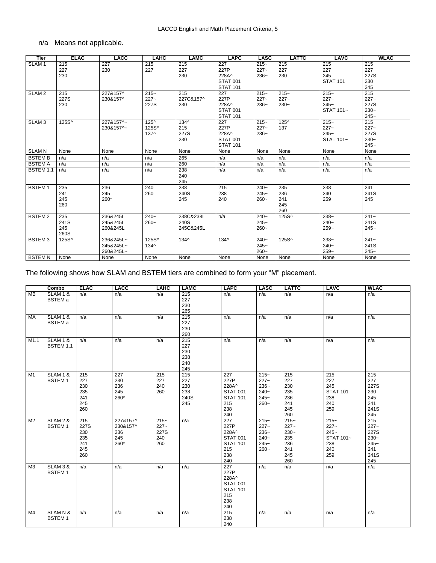# n/a Means not applicable.

| <b>Tier</b>       | <b>ELAC</b>                | <b>LACC</b>                         | LAHC                             | <b>LAMC</b>                    | <b>LAPC</b>                                                | <b>LASC</b>                  | <b>LATTC</b>                    | LAVC                                       | <b>WLAC</b>                                 |
|-------------------|----------------------------|-------------------------------------|----------------------------------|--------------------------------|------------------------------------------------------------|------------------------------|---------------------------------|--------------------------------------------|---------------------------------------------|
| SLAM <sub>1</sub> | 215<br>227<br>230          | 227<br>230                          | 215<br>227                       | 215<br>227<br>230              | 227<br>227P<br>228A^<br><b>STAT 001</b><br><b>STAT 101</b> | $215-$<br>$227 -$<br>$236-$  | 215<br>227<br>230               | 215<br>227<br>245<br><b>STAT 101</b>       | 215<br>227<br>227S<br>230<br>245            |
| SLAM <sub>2</sub> | 215<br>227S<br>230         | 227&157^<br>230&157^                | $215 -$<br>$227 -$<br>227S       | 215<br>227C&157^<br>230        | 227<br>227P<br>228A^<br><b>STAT 001</b><br><b>STAT 101</b> | $215 -$<br>$227 -$<br>$236-$ | $215 -$<br>$227 -$<br>$230 -$   | $215 -$<br>$227 -$<br>$245 -$<br>STAT 101~ | 215<br>$227 -$<br>227S<br>$230-$<br>$245 -$ |
| SLAM <sub>3</sub> | 125S^                      | 227&157^~<br>230&157^~              | $125^{\circ}$<br>125S^<br>$137^$ | $134^$<br>215<br>227S<br>230   | 227<br>227P<br>228A^<br><b>STAT 001</b><br><b>STAT 101</b> | $215 -$<br>$227 -$<br>$236-$ | $125^{\circ}$<br>137            | $215 -$<br>$227 -$<br>$245 -$<br>STAT 101~ | 215<br>$227 -$<br>227S<br>$230-$<br>$245 -$ |
| <b>SLAM N</b>     | None                       | None                                | None                             | None                           | None                                                       | None                         | None                            | None                                       | None                                        |
| <b>BSTEMB</b>     | n/a                        | n/a                                 | n/a                              | 265                            | n/a                                                        | n/a                          | n/a                             | n/a                                        | n/a                                         |
| <b>BSTEMA</b>     | n/a                        | n/a                                 | n/a                              | 260                            | n/a                                                        | n/a                          | n/a                             | n/a                                        | n/a                                         |
| BSTEM 1.1         | n/a                        | n/a                                 | n/a                              | 238<br>240<br>245              | n/a                                                        | n/a                          | n/a                             | n/a                                        | n/a                                         |
| <b>BSTEM1</b>     | 235<br>241<br>245<br>260   | 236<br>245<br>260*                  | 240<br>260                       | 238<br>240S<br>245             | 215<br>238<br>240                                          | $240-$<br>$245 -$<br>$260 -$ | 235<br>236<br>241<br>245<br>260 | 238<br>240<br>259                          | 241<br>241S<br>245                          |
| <b>BSTEM2</b>     | 235<br>241S<br>245<br>260S | 236&245L<br>245&245L<br>260&245L    | $240-$<br>$260 -$                | 238C&238L<br>240S<br>245C&245L | n/a                                                        | $240-$<br>$245 -$<br>$260 -$ | 125S^                           | $238-$<br>$240-$<br>$259-$                 | $241 -$<br>241S<br>$245-$                   |
| <b>BSTEM3</b>     | 125S^                      | 236&245L~<br>245&245L~<br>260&245L~ | 125S^<br>$134^$                  | $134^$                         | $134^$                                                     | $240-$<br>$245 -$<br>$260 -$ | 125S^                           | $238-$<br>$240-$<br>$259-$                 | $241 -$<br>241S<br>$245-$                   |
| <b>BSTEMN</b>     | None                       | None                                | None                             | None                           | None                                                       | None                         | None                            | None                                       | None                                        |

# The following shows how SLAM and BSTEM tiers are combined to form your "M" placement.

|                | Combo                                 | <b>ELAC</b>                                    | <b>LACC</b>                                | <b>LAHC</b>                              | <b>LAMC</b>                             | <b>LAPC</b>                                                                     | <b>LASC</b>                                                 | <b>LATTC</b>                                                    | <b>LAVC</b>                                                     | <b>WLAC</b>                                                      |
|----------------|---------------------------------------|------------------------------------------------|--------------------------------------------|------------------------------------------|-----------------------------------------|---------------------------------------------------------------------------------|-------------------------------------------------------------|-----------------------------------------------------------------|-----------------------------------------------------------------|------------------------------------------------------------------|
| <b>MB</b>      | SLAM <sub>1</sub> &<br><b>BSTEM</b> a | n/a                                            | n/a                                        | n/a                                      | 215<br>227<br>230<br>265                | n/a                                                                             | n/a                                                         | n/a                                                             | n/a                                                             | n/a                                                              |
| МA             | <b>SLAM 1 &amp;</b><br><b>BSTEM</b> a | n/a                                            | n/a                                        | n/a                                      | 215<br>227<br>230<br>260                | n/a                                                                             | n/a                                                         | n/a                                                             | n/a                                                             | n/a                                                              |
| M1.1           | <b>SLAM 1 &amp;</b><br>BSTEM 1.1      | n/a                                            | n/a                                        | n/a                                      | 215<br>227<br>230<br>238<br>240<br>245  | n/a                                                                             | n/a                                                         | n/a                                                             | n/a                                                             | n/a                                                              |
| M1             | <b>SLAM 1 &amp;</b><br><b>BSTEM1</b>  | 215<br>227<br>230<br>235<br>241<br>245<br>260  | 227<br>230<br>236<br>245<br>260*           | 215<br>227<br>240<br>260                 | 215<br>227<br>230<br>238<br>240S<br>245 | 227<br>227P<br>228A^<br><b>STAT 001</b><br><b>STAT 101</b><br>215<br>238<br>240 | $215-$<br>$227 -$<br>$236-$<br>$240-$<br>$245 -$<br>$260 -$ | 215<br>227<br>230<br>235<br>236<br>241<br>245<br>260            | 215<br>227<br>245<br><b>STAT 101</b><br>238<br>240<br>259       | 215<br>227<br>227S<br>230<br>245<br>241<br>241S<br>245           |
| M <sub>2</sub> | <b>SLAM 2 &amp;</b><br><b>BSTEM1</b>  | 215<br>227S<br>230<br>235<br>241<br>245<br>260 | 227&157^<br>230&157^<br>236<br>245<br>260* | $215 -$<br>$227 -$<br>227S<br>240<br>260 | n/a                                     | 227<br>227P<br>228A^<br><b>STAT 001</b><br><b>STAT 101</b><br>215<br>238<br>240 | $215-$<br>$227 -$<br>$236-$<br>$240-$<br>$245 -$<br>$260 -$ | $215 -$<br>$227 -$<br>$230-$<br>235<br>236<br>241<br>245<br>260 | $215 -$<br>$227 -$<br>$245 -$<br>STAT 101~<br>238<br>240<br>259 | 215<br>$227 -$<br>227S<br>$230-$<br>$245-$<br>241<br>241S<br>245 |
| ΜЗ             | <b>SLAM 3 &amp;</b><br><b>BSTEM1</b>  | n/a                                            | n/a                                        | n/a                                      | n/a                                     | 227<br>227P<br>228A^<br><b>STAT 001</b><br><b>STAT 101</b><br>215<br>238<br>240 | n/a                                                         | n/a                                                             | n/a                                                             | n/a                                                              |
| M4             | SLAMN&<br><b>BSTEM1</b>               | n/a                                            | n/a                                        | n/a                                      | n/a                                     | 215<br>238<br>240                                                               | n/a                                                         | n/a                                                             | n/a                                                             | n/a                                                              |